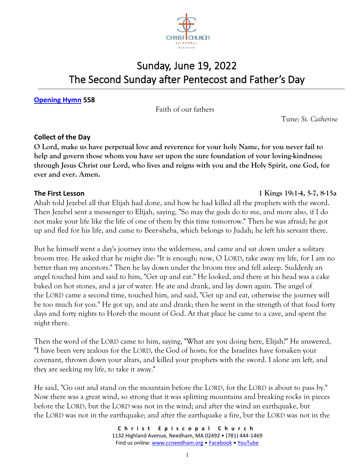

# Sunday, June 19, 2022 The Second Sunday after Pentecost and Father's Day

**[Opening Hymn](https://ccneedham.org/wp-content/uploads/2022/06/Faith-of-our-fathers-living-still-St.-Catherine-Music.png) 558** 

Faith of our fathers

Tune: *St. Catherine*

# **Collect of the Day**

**O Lord, make us have perpetual love and reverence for your holy Name, for you never fail to help and govern those whom you have set upon the sure foundation of your loving-kindness; through Jesus Christ our Lord, who lives and reigns with you and the Holy Spirit, one God, for ever and ever. Amen.**

## **The First Lesson 1 Kings 19:1-4, 5-7, 8-15a**

Ahab told Jezebel all that Elijah had done, and how he had killed all the prophets with the sword. Then Jezebel sent a messenger to Elijah, saying, "So may the gods do to me, and more also, if I do not make your life like the life of one of them by this time tomorrow." Then he was afraid; he got up and fled for his life, and came to Beer-sheba, which belongs to Judah; he left his servant there.

But he himself went a day's journey into the wilderness, and came and sat down under a solitary broom tree. He asked that he might die: "It is enough; now, O LORD, take away my life, for I am no better than my ancestors." Then he lay down under the broom tree and fell asleep. Suddenly an angel touched him and said to him, "Get up and eat." He looked, and there at his head was a cake baked on hot stones, and a jar of water. He ate and drank, and lay down again. The angel of the LORD came a second time, touched him, and said, "Get up and eat, otherwise the journey will be too much for you." He got up, and ate and drank; then he went in the strength of that food forty days and forty nights to Horeb the mount of God. At that place he came to a cave, and spent the night there.

Then the word of the LORD came to him, saying, "What are you doing here, Elijah?" He answered, "I have been very zealous for the LORD, the God of hosts; for the Israelites have forsaken your covenant, thrown down your altars, and killed your prophets with the sword. I alone am left, and they are seeking my life, to take it away."

He said, "Go out and stand on the mountain before the LORD, for the LORD is about to pass by." Now there was a great wind, so strong that it was splitting mountains and breaking rocks in pieces before the LORD, but the LORD was not in the wind; and after the wind an earthquake, but the LORD was not in the earthquake; and after the earthquake a fire, but the LORD was not in the

> **C h r i s t E p i s c o p a l C h u r c h** 1132 Highland Avenue, Needham, MA 02492 • (781) 444-1469 Find us online: [www.ccneedham.org](http://www.ccneedham.org/) [• Facebook](https://www.facebook.com/christchurchneedham/) • [YouTube](https://www.youtube.com/channel/UCt0k93brP-KEZC3D7XNP2gw)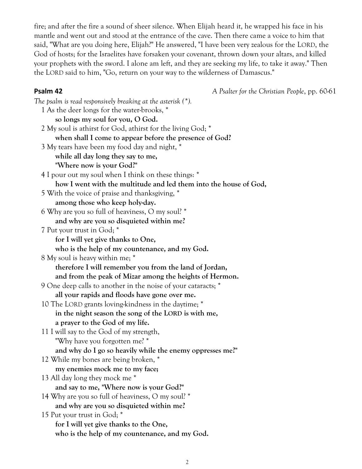fire; and after the fire a sound of sheer silence. When Elijah heard it, he wrapped his face in his mantle and went out and stood at the entrance of the cave. Then there came a voice to him that said, "What are you doing here, Elijah?" He answered, "I have been very zealous for the LORD, the God of hosts; for the Israelites have forsaken your covenant, thrown down your altars, and killed your prophets with the sword. I alone am left, and they are seeking my life, to take it away." Then the LORD said to him, "Go, return on your way to the wilderness of Damascus."

**Psalm 42** *A Psalter for the Christian People*, pp. 60-61

*The psalm is read responsively breaking at the asterisk (\*).* 1 As the deer longs for the water-brooks, \* **so longs my soul for you, O God.** 2 My soul is athirst for God, athirst for the living God; \* **when shall I come to appear before the presence of God?** 3 My tears have been my food day and night, \* **while all day long they say to me, "Where now is your God?"** 4 I pour out my soul when I think on these things: \* **how I went with the multitude and led them into the house of God,** 5 With the voice of praise and thanksgiving, \* **among those who keep holy-day.** 6 Why are you so full of heaviness, O my soul? \* **and why are you so disquieted within me?** 7 Put your trust in God; \* **for I will yet give thanks to One, who is the help of my countenance, and my God.** 8 My soul is heavy within me; \* **therefore I will remember you from the land of Jordan, and from the peak of Mizar among the heights of Hermon.** 9 One deep calls to another in the noise of your cataracts; \* **all your rapids and floods have gone over me.** 10 The LORD grants loving-kindness in the daytime; \* **in the night season the song of the LORD is with me, a prayer to the God of my life.** 11 I will say to the God of my strength, "Why have you forgotten me? \* **and why do I go so heavily while the enemy oppresses me?"** 12 While my bones are being broken, \* **my enemies mock me to my face;** 13 All day long they mock me \* **and say to me, "Where now is your God?"** 14 Why are you so full of heaviness, O my soul? \* **and why are you so disquieted within me?** 15 Put your trust in God; \* **for I will yet give thanks to the One, who is the help of my countenance, and my God.**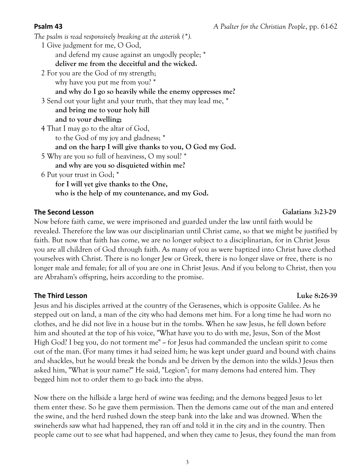*The psalm is read responsively breaking at the asterisk (\*).* 1 Give judgment for me, O God, and defend my cause against an ungodly people; \* **deliver me from the deceitful and the wicked.** 2 For you are the God of my strength; why have you put me from you? \* **and why do I go so heavily while the enemy oppresses me?** 3 Send out your light and your truth, that they may lead me, \* **and bring me to your holy hill and to your dwelling;** 4 That I may go to the altar of God, to the God of my joy and gladness; \* **and on the harp I will give thanks to you, O God my God.** 5 Why are you so full of heaviness, O my soul? \* **and why are you so disquieted within me?** 6 Put your trust in God; \* **for I will yet give thanks to the One, who is the help of my countenance, and my God.**

# **The Second Lesson Galatians 3:23-29**

Now before faith came, we were imprisoned and guarded under the law until faith would be revealed. Therefore the law was our disciplinarian until Christ came, so that we might be justified by faith. But now that faith has come, we are no longer subject to a disciplinarian, for in Christ Jesus you are all children of God through faith. As many of you as were baptized into Christ have clothed yourselves with Christ. There is no longer Jew or Greek, there is no longer slave or free, there is no longer male and female; for all of you are one in Christ Jesus. And if you belong to Christ, then you are Abraham's offspring, heirs according to the promise.

# **The Third Lesson Luke 8:26-39**

Jesus and his disciples arrived at the country of the Gerasenes, which is opposite Galilee. As he stepped out on land, a man of the city who had demons met him. For a long time he had worn no clothes, and he did not live in a house but in the tombs. When he saw Jesus, he fell down before him and shouted at the top of his voice, "What have you to do with me, Jesus, Son of the Most High God? I beg you, do not torment me" -- for Jesus had commanded the unclean spirit to come out of the man. (For many times it had seized him; he was kept under guard and bound with chains and shackles, but he would break the bonds and be driven by the demon into the wilds.) Jesus then asked him, "What is your name?" He said, "Legion"; for many demons had entered him. They begged him not to order them to go back into the abyss.

Now there on the hillside a large herd of swine was feeding; and the demons begged Jesus to let them enter these. So he gave them permission. Then the demons came out of the man and entered the swine, and the herd rushed down the steep bank into the lake and was drowned. When the swineherds saw what had happened, they ran off and told it in the city and in the country. Then people came out to see what had happened, and when they came to Jesus, they found the man from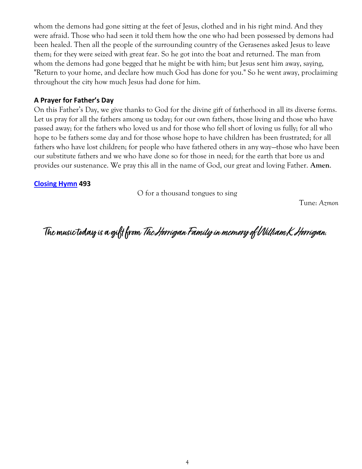whom the demons had gone sitting at the feet of Jesus, clothed and in his right mind. And they were afraid. Those who had seen it told them how the one who had been possessed by demons had been healed. Then all the people of the surrounding country of the Gerasenes asked Jesus to leave them; for they were seized with great fear. So he got into the boat and returned. The man from whom the demons had gone begged that he might be with him; but Jesus sent him away, saying, "Return to your home, and declare how much God has done for you." So he went away, proclaiming throughout the city how much Jesus had done for him.

### **A Prayer for Father's Day**

On this Father's Day, we give thanks to God for the divine gift of fatherhood in all its diverse forms. Let us pray for all the fathers among us today; for our own fathers, those living and those who have passed away; for the fathers who loved us and for those who fell short of loving us fully; for all who hope to be fathers some day and for those whose hope to have children has been frustrated; for all fathers who have lost children; for people who have fathered others in any way—those who have been our substitute fathers and we who have done so for those in need; for the earth that bore us and provides our sustenance. We pray this all in the name of God, our great and loving Father. **Amen**.

**[Closing Hymn](https://ccneedham.org/wp-content/uploads/2022/06/O-for-a-thousand-tongues-to-sing-Azmon-Music.png) 493** 

O for a thousand tongues to sing

Tune: *Azmon*

**The music today is a gift from The Horrigan Family inmemory of William K. Horrigan.**